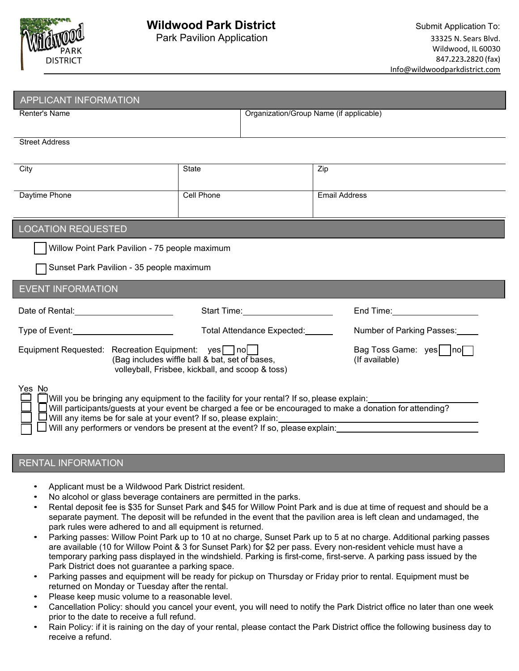

## **Wildwood Park District** Submit Application To:

| <b>APPLICANT INFORMATION</b>                                                                                                                                                                                                   |                                                                                                                                                                              |                                                                                                                                                                                                                                |  |  |  |
|--------------------------------------------------------------------------------------------------------------------------------------------------------------------------------------------------------------------------------|------------------------------------------------------------------------------------------------------------------------------------------------------------------------------|--------------------------------------------------------------------------------------------------------------------------------------------------------------------------------------------------------------------------------|--|--|--|
| <b>Renter's Name</b>                                                                                                                                                                                                           |                                                                                                                                                                              | Organization/Group Name (if applicable)                                                                                                                                                                                        |  |  |  |
| <b>Street Address</b>                                                                                                                                                                                                          |                                                                                                                                                                              |                                                                                                                                                                                                                                |  |  |  |
| City                                                                                                                                                                                                                           | <b>State</b>                                                                                                                                                                 | Zip                                                                                                                                                                                                                            |  |  |  |
| Daytime Phone                                                                                                                                                                                                                  | Cell Phone                                                                                                                                                                   | Email Address                                                                                                                                                                                                                  |  |  |  |
| <b>LOCATION REQUESTED</b>                                                                                                                                                                                                      |                                                                                                                                                                              |                                                                                                                                                                                                                                |  |  |  |
| Willow Point Park Pavilion - 75 people maximum                                                                                                                                                                                 |                                                                                                                                                                              |                                                                                                                                                                                                                                |  |  |  |
| Sunset Park Pavilion - 35 people maximum                                                                                                                                                                                       |                                                                                                                                                                              |                                                                                                                                                                                                                                |  |  |  |
| <b>EVENT INFORMATION</b>                                                                                                                                                                                                       |                                                                                                                                                                              |                                                                                                                                                                                                                                |  |  |  |
| Date of Rental: Date of Prentice Control of Contract Control Control of Contract Control Control Control Control Control Control Control Control Control Control Control Control Control Control Control Control Control Contr | Start Time: No. 1994                                                                                                                                                         | End Time: The Second Second Second Second Second Second Second Second Second Second Second Second Second Second Second Second Second Second Second Second Second Second Second Second Second Second Second Second Second Secon |  |  |  |
| Type of Event: <u>continuing</u>                                                                                                                                                                                               | Total Attendance Expected:                                                                                                                                                   | Number of Parking Passes:                                                                                                                                                                                                      |  |  |  |
| Equipment Requested: Recreation Equipment: yes no<br>Bag Toss Game: yes     no<br>(Bag includes wiffle ball & bat, set of bases,<br>(If available)<br>volleyball, Frisbee, kickball, and scoop & toss)                         |                                                                                                                                                                              |                                                                                                                                                                                                                                |  |  |  |
| Yes No<br>Will any items be for sale at your event? If so, please explain:                                                                                                                                                     | Will you be bringing any equipment to the facility for your rental? If so, please explain:<br>Will any performers or vendors be present at the event? If so, please explain: | Will participants/guests at your event be charged a fee or be encouraged to make a donation for attending?                                                                                                                     |  |  |  |

## RENTAL INFORMATION

- Applicant must be a Wildwood Park District resident.
- No alcohol or glass beverage containers are permitted in the parks.
- Rental deposit fee is \$35 for Sunset Park and \$45 for Willow Point Park and is due at time of request and should be a separate payment. The deposit will be refunded in the event that the pavilion area is left clean and undamaged, the park rules were adhered to and all equipment is returned.
- Parking passes: Willow Point Park up to 10 at no charge, Sunset Park up to 5 at no charge. Additional parking passes are available (10 for Willow Point & 3 for Sunset Park) for \$2 per pass. Every non-resident vehicle must have a temporary parking pass displayed in the windshield. Parking is first-come, first-serve. A parking pass issued by the Park District does not guarantee a parking space.
- Parking passes and equipment will be ready for pickup on Thursday or Friday prior to rental. Equipment must be returned on Monday or Tuesday after the rental.
- Please keep music volume to a reasonable level.
- Cancellation Policy: should you cancel your event, you will need to notify the Park District office no later than one week prior to the date to receive a full refund.
- Rain Policy: if it is raining on the day of your rental, please contact the Park District office the following business day to receive a refund.